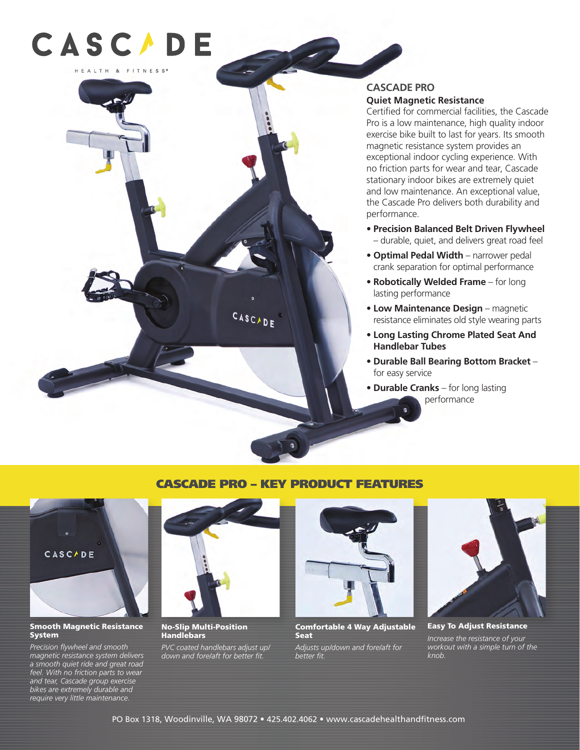

## **CASCADE PRO Quiet Magnetic Resistance**

Certified for commercial facilities, the Cascade Pro is a low maintenance, high quality indoor exercise bike built to last for years. Its smooth magnetic resistance system provides an exceptional indoor cycling experience. With no friction parts for wear and tear, Cascade stationary indoor bikes are extremely quiet and low maintenance. An exceptional value, the Cascade Pro delivers both durability and performance.

- **Precision Balanced Belt Driven Flywheel** – durable, quiet, and delivers great road feel
- **Optimal Pedal Width** narrower pedal crank separation for optimal performance
- **Robotically Welded Frame** for long lasting performance
- **Low Maintenance Design** magnetic resistance eliminates old style wearing parts
- **Long Lasting Chrome Plated Seat And Handlebar Tubes**
- **Durable Ball Bearing Bottom Bracket** for easy service
- **Durable Cranks** for long lasting performance

## CASCADE PRO – KEY PRODUCT FEATURES

CASCADE



#### Smooth Magnetic Resistance System

*Precision flywheel and smooth magnetic resistance system delivers a smooth quiet ride and great road feel. With no friction parts to wear and tear, Cascade group exercise bikes are extremely durable and require very little maintenance.*



No-Slip Multi-Position Handlebars

*PVC coated handlebars adjust up/ down and fore/aft for better fit.*



Comfortable 4 Way Adjustable Seat

*Adjusts up/down and fore/aft for better fit.*



Easy To Adjust Resistance *Increase the resistance of your workout with a simple turn of the knob.*